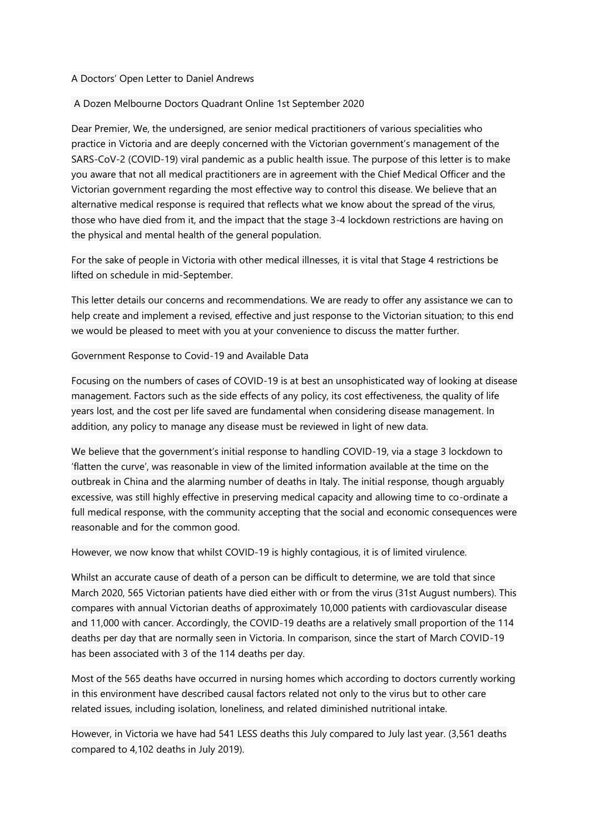#### A Doctors' Open Letter to Daniel Andrews

#### A Dozen Melbourne Doctors Quadrant Online 1st September 2020

Dear Premier, We, the undersigned, are senior medical practitioners of various specialities who practice in Victoria and are deeply concerned with the Victorian government's management of the SARS-CoV-2 (COVID-19) viral pandemic as a public health issue. The purpose of this letter is to make you aware that not all medical practitioners are in agreement with the Chief Medical Officer and the Victorian government regarding the most effective way to control this disease. We believe that an alternative medical response is required that reflects what we know about the spread of the virus, those who have died from it, and the impact that the stage 3-4 lockdown restrictions are having on the physical and mental health of the general population.

For the sake of people in Victoria with other medical illnesses, it is vital that Stage 4 restrictions be lifted on schedule in mid-September.

This letter details our concerns and recommendations. We are ready to offer any assistance we can to help create and implement a revised, effective and just response to the Victorian situation; to this end we would be pleased to meet with you at your convenience to discuss the matter further.

#### Government Response to Covid-19 and Available Data

Focusing on the numbers of cases of COVID-19 is at best an unsophisticated way of looking at disease management. Factors such as the side effects of any policy, its cost effectiveness, the quality of life years lost, and the cost per life saved are fundamental when considering disease management. In addition, any policy to manage any disease must be reviewed in light of new data.

We believe that the government's initial response to handling COVID-19, via a stage 3 lockdown to 'flatten the curve', was reasonable in view of the limited information available at the time on the outbreak in China and the alarming number of deaths in Italy. The initial response, though arguably excessive, was still highly effective in preserving medical capacity and allowing time to co-ordinate a full medical response, with the community accepting that the social and economic consequences were reasonable and for the common good.

However, we now know that whilst COVID-19 is highly contagious, it is of limited virulence.

Whilst an accurate cause of death of a person can be difficult to determine, we are told that since March 2020, 565 Victorian patients have died either with or from the virus (31st August numbers). This compares with annual Victorian deaths of approximately 10,000 patients with cardiovascular disease and 11,000 with cancer. Accordingly, the COVID-19 deaths are a relatively small proportion of the 114 deaths per day that are normally seen in Victoria. In comparison, since the start of March COVID-19 has been associated with 3 of the 114 deaths per day.

Most of the 565 deaths have occurred in nursing homes which according to doctors currently working in this environment have described causal factors related not only to the virus but to other care related issues, including isolation, loneliness, and related diminished nutritional intake.

However, in Victoria we have had 541 LESS deaths this July compared to July last year. (3,561 deaths compared to 4,102 deaths in July 2019).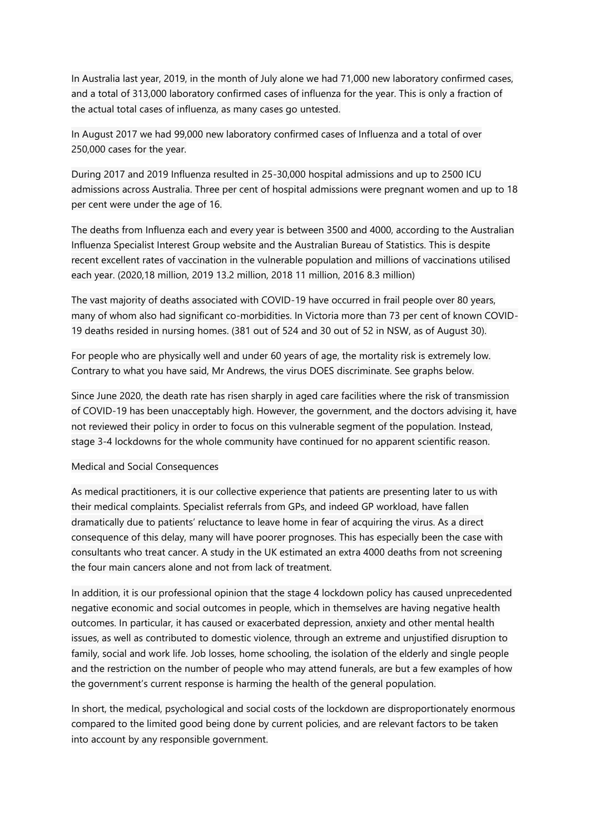In Australia last year, 2019, in the month of July alone we had 71,000 new laboratory confirmed cases, and a total of 313,000 laboratory confirmed cases of influenza for the year. This is only a fraction of the actual total cases of influenza, as many cases go untested.

In August 2017 we had 99,000 new laboratory confirmed cases of Influenza and a total of over 250,000 cases for the year.

During 2017 and 2019 Influenza resulted in 25-30,000 hospital admissions and up to 2500 ICU admissions across Australia. Three per cent of hospital admissions were pregnant women and up to 18 per cent were under the age of 16.

The deaths from Influenza each and every year is between 3500 and 4000, according to the Australian Influenza Specialist Interest Group website and the Australian Bureau of Statistics. This is despite recent excellent rates of vaccination in the vulnerable population and millions of vaccinations utilised each year. (2020,18 million, 2019 13.2 million, 2018 11 million, 2016 8.3 million)

The vast majority of deaths associated with COVID-19 have occurred in frail people over 80 years, many of whom also had significant co-morbidities. In Victoria more than 73 per cent of known COVID-19 deaths resided in nursing homes. (381 out of 524 and 30 out of 52 in NSW, as of August 30).

For people who are physically well and under 60 years of age, the mortality risk is extremely low. Contrary to what you have said, Mr Andrews, the virus DOES discriminate. See graphs below.

Since June 2020, the death rate has risen sharply in aged care facilities where the risk of transmission of COVID-19 has been unacceptably high. However, the government, and the doctors advising it, have not reviewed their policy in order to focus on this vulnerable segment of the population. Instead, stage 3-4 lockdowns for the whole community have continued for no apparent scientific reason.

# Medical and Social Consequences

As medical practitioners, it is our collective experience that patients are presenting later to us with their medical complaints. Specialist referrals from GPs, and indeed GP workload, have fallen dramatically due to patients' reluctance to leave home in fear of acquiring the virus. As a direct consequence of this delay, many will have poorer prognoses. This has especially been the case with consultants who treat cancer. A study in the UK estimated an extra 4000 deaths from not screening the four main cancers alone and not from lack of treatment.

In addition, it is our professional opinion that the stage 4 lockdown policy has caused unprecedented negative economic and social outcomes in people, which in themselves are having negative health outcomes. In particular, it has caused or exacerbated depression, anxiety and other mental health issues, as well as contributed to domestic violence, through an extreme and unjustified disruption to family, social and work life. Job losses, home schooling, the isolation of the elderly and single people and the restriction on the number of people who may attend funerals, are but a few examples of how the government's current response is harming the health of the general population.

In short, the medical, psychological and social costs of the lockdown are disproportionately enormous compared to the limited good being done by current policies, and are relevant factors to be taken into account by any responsible government.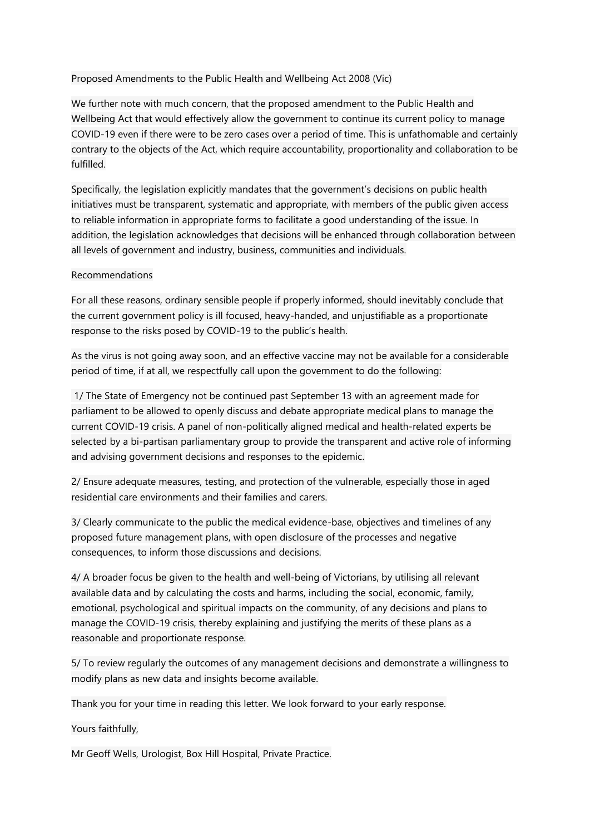# Proposed Amendments to the Public Health and Wellbeing Act 2008 (Vic)

We further note with much concern, that the proposed amendment to the Public Health and Wellbeing Act that would effectively allow the government to continue its current policy to manage COVID-19 even if there were to be zero cases over a period of time. This is unfathomable and certainly contrary to the objects of the Act, which require accountability, proportionality and collaboration to be fulfilled.

Specifically, the legislation explicitly mandates that the government's decisions on public health initiatives must be transparent, systematic and appropriate, with members of the public given access to reliable information in appropriate forms to facilitate a good understanding of the issue. In addition, the legislation acknowledges that decisions will be enhanced through collaboration between all levels of government and industry, business, communities and individuals.

# Recommendations

For all these reasons, ordinary sensible people if properly informed, should inevitably conclude that the current government policy is ill focused, heavy-handed, and unjustifiable as a proportionate response to the risks posed by COVID-19 to the public's health.

As the virus is not going away soon, and an effective vaccine may not be available for a considerable period of time, if at all, we respectfully call upon the government to do the following:

1/ The State of Emergency not be continued past September 13 with an agreement made for parliament to be allowed to openly discuss and debate appropriate medical plans to manage the current COVID-19 crisis. A panel of non-politically aligned medical and health-related experts be selected by a bi-partisan parliamentary group to provide the transparent and active role of informing and advising government decisions and responses to the epidemic.

2/ Ensure adequate measures, testing, and protection of the vulnerable, especially those in aged residential care environments and their families and carers.

3/ Clearly communicate to the public the medical evidence-base, objectives and timelines of any proposed future management plans, with open disclosure of the processes and negative consequences, to inform those discussions and decisions.

4/ A broader focus be given to the health and well-being of Victorians, by utilising all relevant available data and by calculating the costs and harms, including the social, economic, family, emotional, psychological and spiritual impacts on the community, of any decisions and plans to manage the COVID-19 crisis, thereby explaining and justifying the merits of these plans as a reasonable and proportionate response.

5/ To review regularly the outcomes of any management decisions and demonstrate a willingness to modify plans as new data and insights become available.

Thank you for your time in reading this letter. We look forward to your early response.

Yours faithfully,

Mr Geoff Wells, Urologist, Box Hill Hospital, Private Practice.